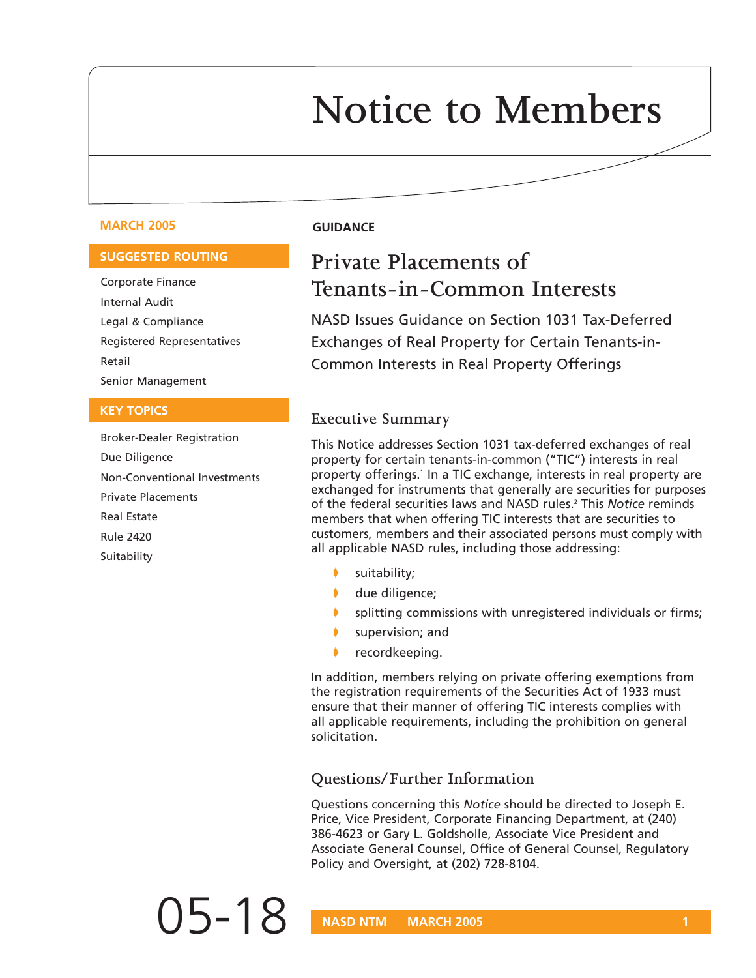# **Notice to Members**

#### **MARCH 2005 GUIDANCE**

#### **SUGGESTED ROUTING**

Corporate Finance Internal Audit Legal & Compliance Registered Representatives Retail Senior Management

#### **KEY TOPICS**

Broker-Dealer Registration Due Diligence Non-Conventional Investments Private Placements Real Estate Rule 2420 **Suitability** 

## **Private Placements of Tenants-in-Common Interests**

NASD Issues Guidance on Section 1031 Tax-Deferred Exchanges of Real Property for Certain Tenants-in-Common Interests in Real Property Offerings

#### **Executive Summary**

This Notice addresses Section 1031 tax-deferred exchanges of real property for certain tenants-in-common ("TIC") interests in real property offerings.<sup>1</sup> In a TIC exchange, interests in real property are exchanged for instruments that generally are securities for purposes of the federal securities laws and NASD rules.2 This *Notice* reminds members that when offering TIC interests that are securities to customers, members and their associated persons must comply with all applicable NASD rules, including those addressing:

- suitability;
- due diligence;
- splitting commissions with unregistered individuals or firms;
- supervision; and
- recordkeeping.

In addition, members relying on private offering exemptions from the registration requirements of the Securities Act of 1933 must ensure that their manner of offering TIC interests complies with all applicable requirements, including the prohibition on general solicitation.

#### **Questions/Further Information**

Questions concerning this *Notice* should be directed to Joseph E. Price, Vice President, Corporate Financing Department, at (240) 386-4623 or Gary L. Goldsholle, Associate Vice President and Associate General Counsel, Office of General Counsel, Regulatory Policy and Oversight, at (202) 728-8104.

05-18 **NASD NTM MARCH 2005** 1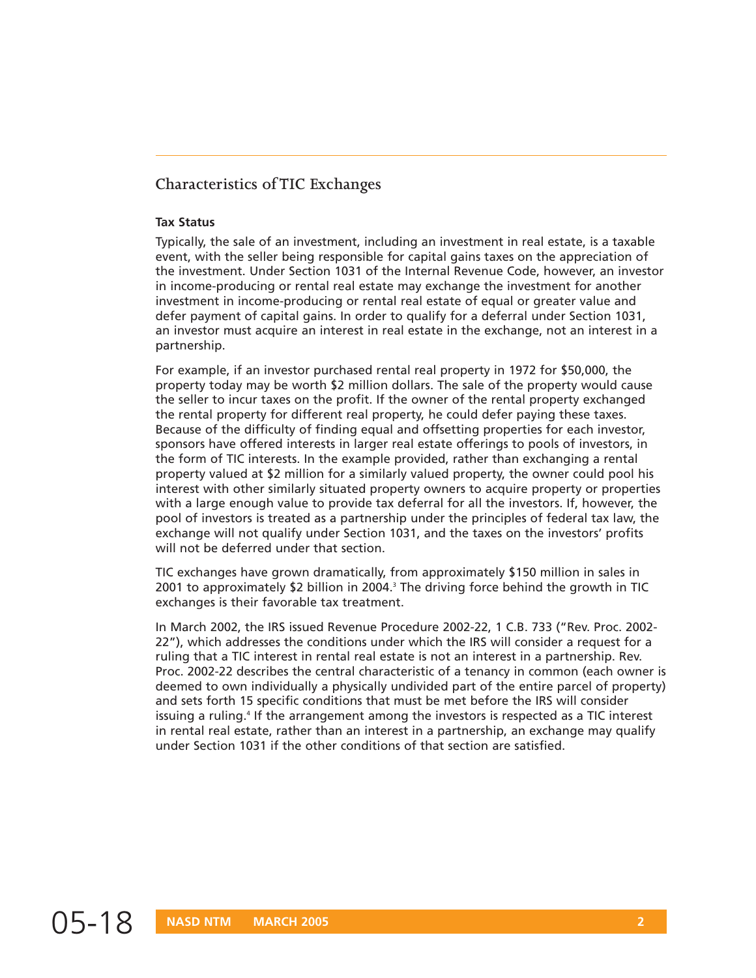### **Characteristics of TIC Exchanges**

#### **Tax Status**

Typically, the sale of an investment, including an investment in real estate, is a taxable event, with the seller being responsible for capital gains taxes on the appreciation of the investment. Under Section 1031 of the Internal Revenue Code, however, an investor in income-producing or rental real estate may exchange the investment for another investment in income-producing or rental real estate of equal or greater value and defer payment of capital gains. In order to qualify for a deferral under Section 1031, an investor must acquire an interest in real estate in the exchange, not an interest in a partnership.

For example, if an investor purchased rental real property in 1972 for \$50,000, the property today may be worth \$2 million dollars. The sale of the property would cause the seller to incur taxes on the profit. If the owner of the rental property exchanged the rental property for different real property, he could defer paying these taxes. Because of the difficulty of finding equal and offsetting properties for each investor, sponsors have offered interests in larger real estate offerings to pools of investors, in the form of TIC interests. In the example provided, rather than exchanging a rental property valued at \$2 million for a similarly valued property, the owner could pool his interest with other similarly situated property owners to acquire property or properties with a large enough value to provide tax deferral for all the investors. If, however, the pool of investors is treated as a partnership under the principles of federal tax law, the exchange will not qualify under Section 1031, and the taxes on the investors' profits will not be deferred under that section

TIC exchanges have grown dramatically, from approximately \$150 million in sales in 2001 to approximately \$2 billion in 2004.<sup>3</sup> The driving force behind the growth in TIC exchanges is their favorable tax treatment.

In March 2002, the IRS issued Revenue Procedure 2002-22, 1 C.B. 733 ("Rev. Proc. 2002- 22"), which addresses the conditions under which the IRS will consider a request for a ruling that a TIC interest in rental real estate is not an interest in a partnership. Rev. Proc. 2002-22 describes the central characteristic of a tenancy in common (each owner is deemed to own individually a physically undivided part of the entire parcel of property) and sets forth 15 specific conditions that must be met before the IRS will consider issuing a ruling.<sup>4</sup> If the arrangement among the investors is respected as a TIC interest in rental real estate, rather than an interest in a partnership, an exchange may qualify under Section 1031 if the other conditions of that section are satisfied.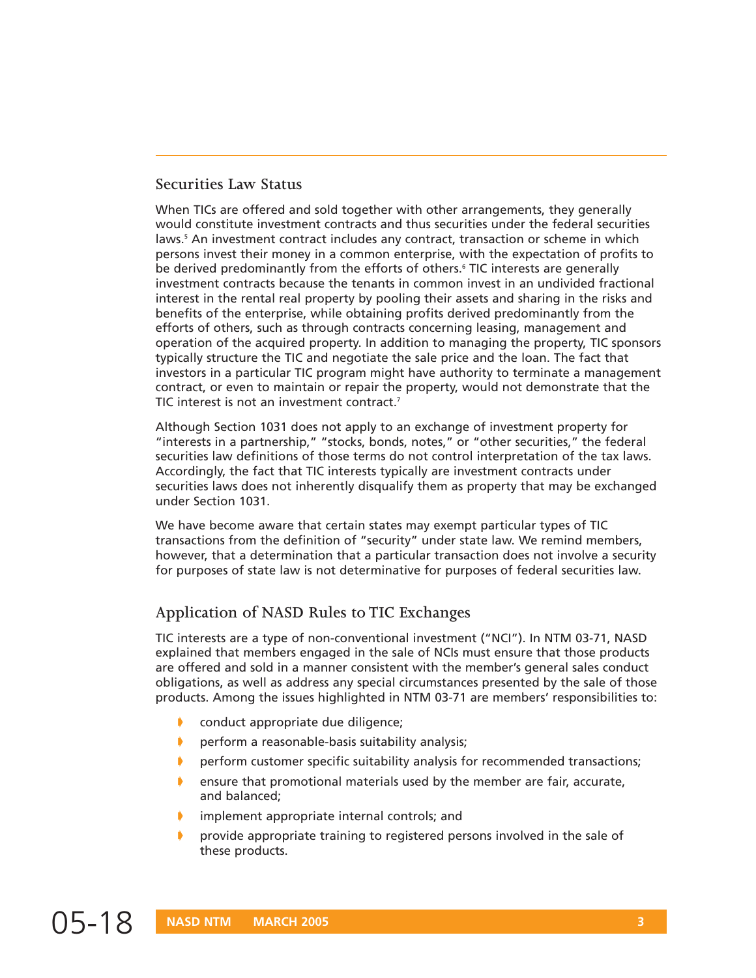#### **Securities Law Status**

When TICs are offered and sold together with other arrangements, they generally would constitute investment contracts and thus securities under the federal securities laws.<sup>5</sup> An investment contract includes any contract, transaction or scheme in which persons invest their money in a common enterprise, with the expectation of profits to be derived predominantly from the efforts of others.<sup>6</sup> TIC interests are generally investment contracts because the tenants in common invest in an undivided fractional interest in the rental real property by pooling their assets and sharing in the risks and benefits of the enterprise, while obtaining profits derived predominantly from the efforts of others, such as through contracts concerning leasing, management and operation of the acquired property. In addition to managing the property, TIC sponsors typically structure the TIC and negotiate the sale price and the loan. The fact that investors in a particular TIC program might have authority to terminate a management contract, or even to maintain or repair the property, would not demonstrate that the TIC interest is not an investment contract.<sup>7</sup>

Although Section 1031 does not apply to an exchange of investment property for "interests in a partnership," "stocks, bonds, notes," or "other securities," the federal securities law definitions of those terms do not control interpretation of the tax laws. Accordingly, the fact that TIC interests typically are investment contracts under securities laws does not inherently disqualify them as property that may be exchanged under Section 1031.

We have become aware that certain states may exempt particular types of TIC transactions from the definition of "security" under state law. We remind members, however, that a determination that a particular transaction does not involve a security for purposes of state law is not determinative for purposes of federal securities law.

### **Application of NASD Rules to TIC Exchanges**

TIC interests are a type of non-conventional investment ("NCI"). In NTM 03-71, NASD explained that members engaged in the sale of NCIs must ensure that those products are offered and sold in a manner consistent with the member's general sales conduct obligations, as well as address any special circumstances presented by the sale of those products. Among the issues highlighted in NTM 03-71 are members' responsibilities to:

- conduct appropriate due diligence;
- ➧ perform a reasonable-basis suitability analysis;
- perform customer specific suitability analysis for recommended transactions;
- ➧ ensure that promotional materials used by the member are fair, accurate, and balanced;
- ➧ implement appropriate internal controls; and
- provide appropriate training to registered persons involved in the sale of these products.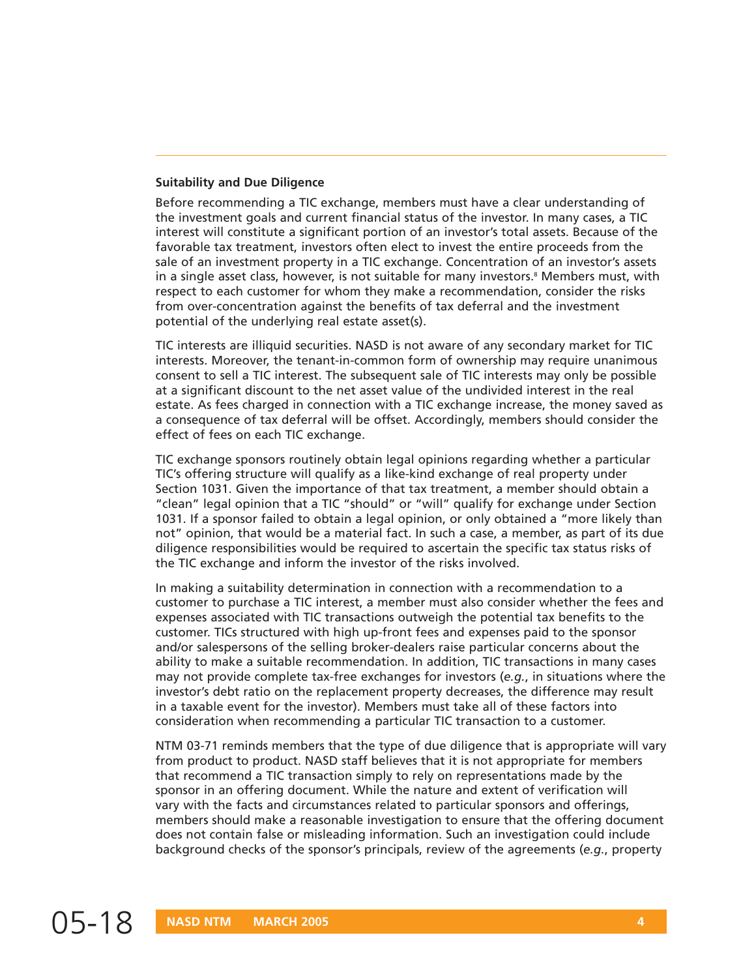#### **Suitability and Due Diligence**

Before recommending a TIC exchange, members must have a clear understanding of the investment goals and current financial status of the investor. In many cases, a TIC interest will constitute a significant portion of an investor's total assets. Because of the favorable tax treatment, investors often elect to invest the entire proceeds from the sale of an investment property in a TIC exchange. Concentration of an investor's assets in a single asset class, however, is not suitable for many investors.<sup>8</sup> Members must, with respect to each customer for whom they make a recommendation, consider the risks from over-concentration against the benefits of tax deferral and the investment potential of the underlying real estate asset(s).

TIC interests are illiquid securities. NASD is not aware of any secondary market for TIC interests. Moreover, the tenant-in-common form of ownership may require unanimous consent to sell a TIC interest. The subsequent sale of TIC interests may only be possible at a significant discount to the net asset value of the undivided interest in the real estate. As fees charged in connection with a TIC exchange increase, the money saved as a consequence of tax deferral will be offset. Accordingly, members should consider the effect of fees on each TIC exchange.

TIC exchange sponsors routinely obtain legal opinions regarding whether a particular TIC's offering structure will qualify as a like-kind exchange of real property under Section 1031. Given the importance of that tax treatment, a member should obtain a "clean" legal opinion that a TIC "should" or "will" qualify for exchange under Section 1031. If a sponsor failed to obtain a legal opinion, or only obtained a "more likely than not" opinion, that would be a material fact. In such a case, a member, as part of its due diligence responsibilities would be required to ascertain the specific tax status risks of the TIC exchange and inform the investor of the risks involved.

In making a suitability determination in connection with a recommendation to a customer to purchase a TIC interest, a member must also consider whether the fees and expenses associated with TIC transactions outweigh the potential tax benefits to the customer. TICs structured with high up-front fees and expenses paid to the sponsor and/or salespersons of the selling broker-dealers raise particular concerns about the ability to make a suitable recommendation. In addition, TIC transactions in many cases may not provide complete tax-free exchanges for investors (*e.g.*, in situations where the investor's debt ratio on the replacement property decreases, the difference may result in a taxable event for the investor). Members must take all of these factors into consideration when recommending a particular TIC transaction to a customer.

NTM 03-71 reminds members that the type of due diligence that is appropriate will vary from product to product. NASD staff believes that it is not appropriate for members that recommend a TIC transaction simply to rely on representations made by the sponsor in an offering document. While the nature and extent of verification will vary with the facts and circumstances related to particular sponsors and offerings, members should make a reasonable investigation to ensure that the offering document does not contain false or misleading information. Such an investigation could include background checks of the sponsor's principals, review of the agreements (*e.g.*, property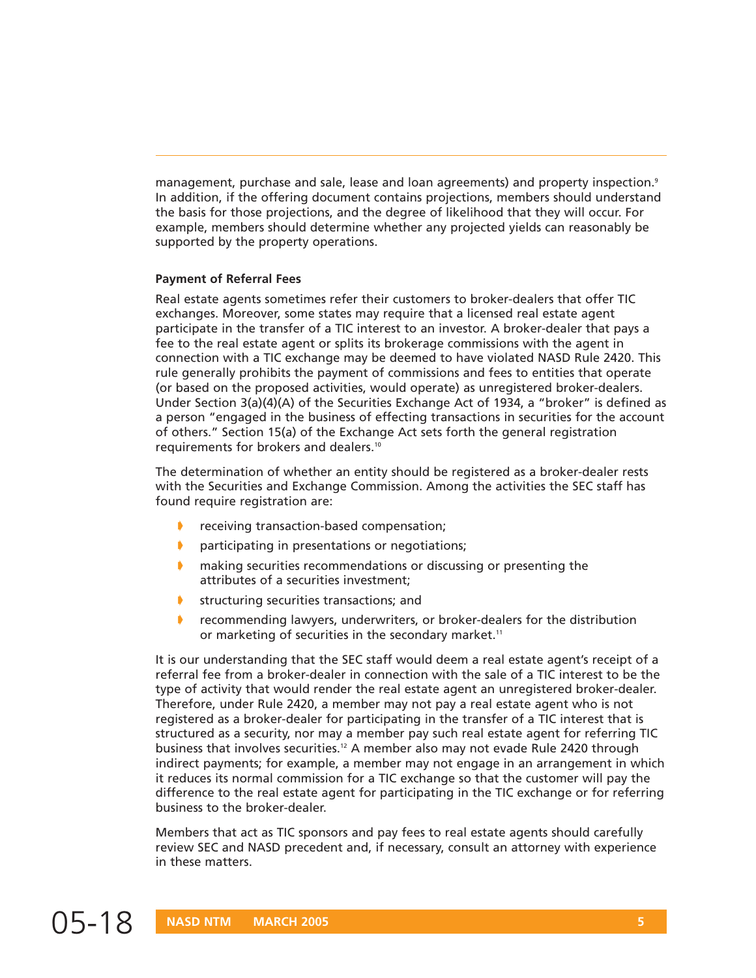management, purchase and sale, lease and loan agreements) and property inspection.<sup>9</sup> In addition, if the offering document contains projections, members should understand the basis for those projections, and the degree of likelihood that they will occur. For example, members should determine whether any projected yields can reasonably be supported by the property operations.

#### **Payment of Referral Fees**

Real estate agents sometimes refer their customers to broker-dealers that offer TIC exchanges. Moreover, some states may require that a licensed real estate agent participate in the transfer of a TIC interest to an investor. A broker-dealer that pays a fee to the real estate agent or splits its brokerage commissions with the agent in connection with a TIC exchange may be deemed to have violated NASD Rule 2420. This rule generally prohibits the payment of commissions and fees to entities that operate (or based on the proposed activities, would operate) as unregistered broker-dealers. Under Section 3(a)(4)(A) of the Securities Exchange Act of 1934, a "broker" is defined as a person "engaged in the business of effecting transactions in securities for the account of others." Section 15(a) of the Exchange Act sets forth the general registration requirements for brokers and dealers.10

The determination of whether an entity should be registered as a broker-dealer rests with the Securities and Exchange Commission. Among the activities the SEC staff has found require registration are:

- receiving transaction-based compensation;
- ➧ participating in presentations or negotiations;
- ➧ making securities recommendations or discussing or presenting the attributes of a securities investment;
- **▶ structuring securities transactions; and**
- recommending lawyers, underwriters, or broker-dealers for the distribution or marketing of securities in the secondary market.<sup>11</sup>

It is our understanding that the SEC staff would deem a real estate agent's receipt of a referral fee from a broker-dealer in connection with the sale of a TIC interest to be the type of activity that would render the real estate agent an unregistered broker-dealer. Therefore, under Rule 2420, a member may not pay a real estate agent who is not registered as a broker-dealer for participating in the transfer of a TIC interest that is structured as a security, nor may a member pay such real estate agent for referring TIC business that involves securities.<sup>12</sup> A member also may not evade Rule 2420 through indirect payments; for example, a member may not engage in an arrangement in which it reduces its normal commission for a TIC exchange so that the customer will pay the difference to the real estate agent for participating in the TIC exchange or for referring business to the broker-dealer.

Members that act as TIC sponsors and pay fees to real estate agents should carefully review SEC and NASD precedent and, if necessary, consult an attorney with experience in these matters.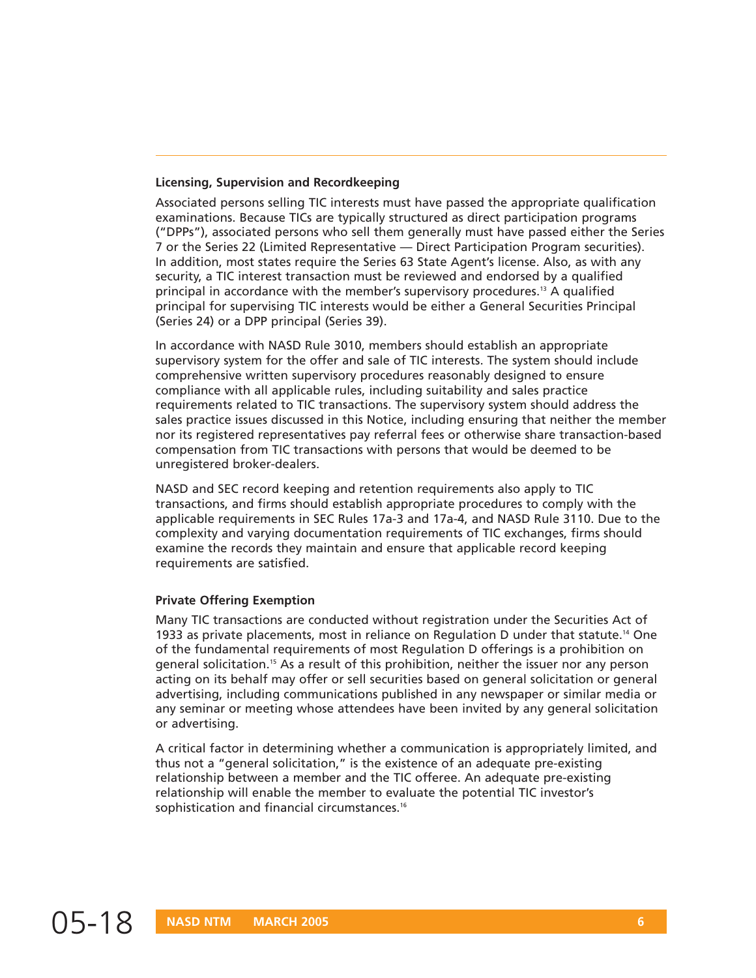#### **Licensing, Supervision and Recordkeeping**

Associated persons selling TIC interests must have passed the appropriate qualification examinations. Because TICs are typically structured as direct participation programs ("DPPs"), associated persons who sell them generally must have passed either the Series 7 or the Series 22 (Limited Representative — Direct Participation Program securities). In addition, most states require the Series 63 State Agent's license. Also, as with any security, a TIC interest transaction must be reviewed and endorsed by a qualified principal in accordance with the member's supervisory procedures.<sup>13</sup> A qualified principal for supervising TIC interests would be either a General Securities Principal (Series 24) or a DPP principal (Series 39).

In accordance with NASD Rule 3010, members should establish an appropriate supervisory system for the offer and sale of TIC interests. The system should include comprehensive written supervisory procedures reasonably designed to ensure compliance with all applicable rules, including suitability and sales practice requirements related to TIC transactions. The supervisory system should address the sales practice issues discussed in this Notice, including ensuring that neither the member nor its registered representatives pay referral fees or otherwise share transaction-based compensation from TIC transactions with persons that would be deemed to be unregistered broker-dealers.

NASD and SEC record keeping and retention requirements also apply to TIC transactions, and firms should establish appropriate procedures to comply with the applicable requirements in SEC Rules 17a-3 and 17a-4, and NASD Rule 3110. Due to the complexity and varying documentation requirements of TIC exchanges, firms should examine the records they maintain and ensure that applicable record keeping requirements are satisfied.

#### **Private Offering Exemption**

Many TIC transactions are conducted without registration under the Securities Act of 1933 as private placements, most in reliance on Regulation D under that statute.14 One of the fundamental requirements of most Regulation D offerings is a prohibition on general solicitation.15 As a result of this prohibition, neither the issuer nor any person acting on its behalf may offer or sell securities based on general solicitation or general advertising, including communications published in any newspaper or similar media or any seminar or meeting whose attendees have been invited by any general solicitation or advertising.

A critical factor in determining whether a communication is appropriately limited, and thus not a "general solicitation," is the existence of an adequate pre-existing relationship between a member and the TIC offeree. An adequate pre-existing relationship will enable the member to evaluate the potential TIC investor's sophistication and financial circumstances.<sup>16</sup>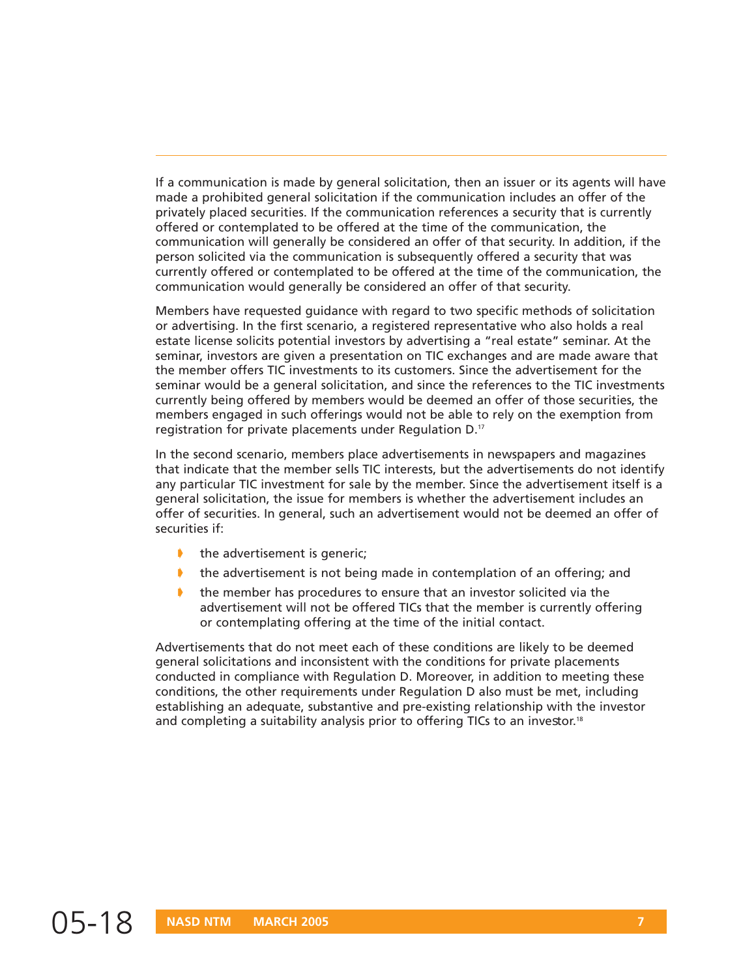If a communication is made by general solicitation, then an issuer or its agents will have made a prohibited general solicitation if the communication includes an offer of the privately placed securities. If the communication references a security that is currently offered or contemplated to be offered at the time of the communication, the communication will generally be considered an offer of that security. In addition, if the person solicited via the communication is subsequently offered a security that was currently offered or contemplated to be offered at the time of the communication, the communication would generally be considered an offer of that security.

Members have requested guidance with regard to two specific methods of solicitation or advertising. In the first scenario, a registered representative who also holds a real estate license solicits potential investors by advertising a "real estate" seminar. At the seminar, investors are given a presentation on TIC exchanges and are made aware that the member offers TIC investments to its customers. Since the advertisement for the seminar would be a general solicitation, and since the references to the TIC investments currently being offered by members would be deemed an offer of those securities, the members engaged in such offerings would not be able to rely on the exemption from registration for private placements under Regulation D.17

In the second scenario, members place advertisements in newspapers and magazines that indicate that the member sells TIC interests, but the advertisements do not identify any particular TIC investment for sale by the member. Since the advertisement itself is a general solicitation, the issue for members is whether the advertisement includes an offer of securities. In general, such an advertisement would not be deemed an offer of securities if:

- $\bullet$  the advertisement is generic;
- ➧ the advertisement is not being made in contemplation of an offering; and
- ➧ the member has procedures to ensure that an investor solicited via the advertisement will not be offered TICs that the member is currently offering or contemplating offering at the time of the initial contact.

Advertisements that do not meet each of these conditions are likely to be deemed general solicitations and inconsistent with the conditions for private placements conducted in compliance with Regulation D. Moreover, in addition to meeting these conditions, the other requirements under Regulation D also must be met, including establishing an adequate, substantive and pre-existing relationship with the investor and completing a suitability analysis prior to offering TICs to an investor.<sup>18</sup>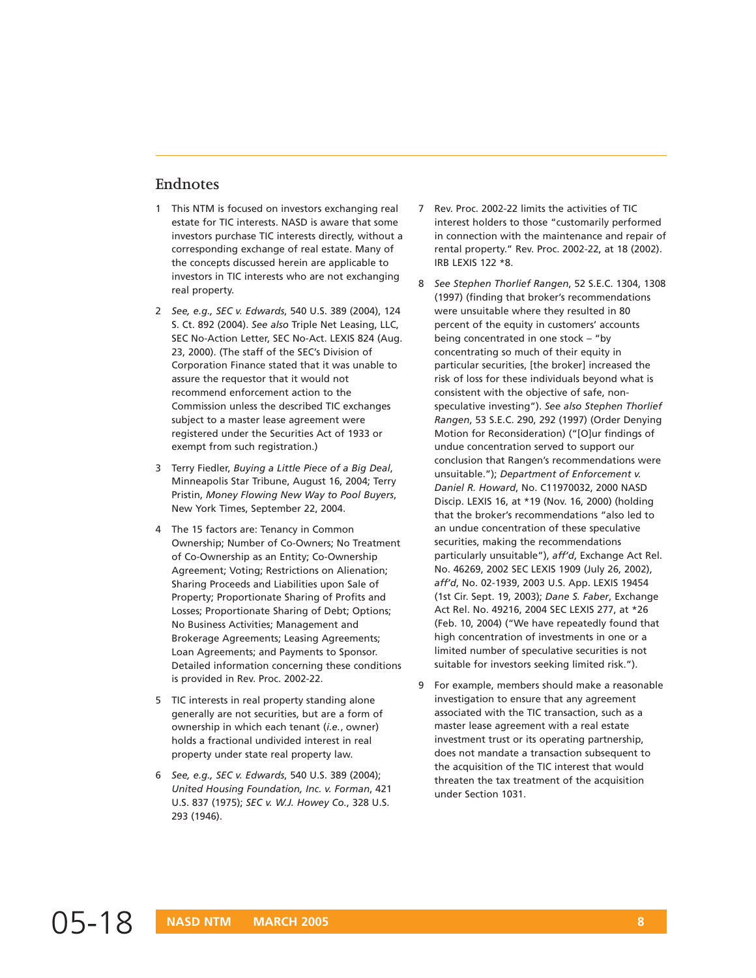#### **Endnotes**

- 1 This NTM is focused on investors exchanging real estate for TIC interests. NASD is aware that some investors purchase TIC interests directly, without a corresponding exchange of real estate. Many of the concepts discussed herein are applicable to investors in TIC interests who are not exchanging real property.
- 2 *See, e.g., SEC v. Edwards*, 540 U.S. 389 (2004), 124 S. Ct. 892 (2004). *See also* Triple Net Leasing, LLC, SEC No-Action Letter, SEC No-Act. LEXIS 824 (Aug. 23, 2000). (The staff of the SEC's Division of Corporation Finance stated that it was unable to assure the requestor that it would not recommend enforcement action to the Commission unless the described TIC exchanges subject to a master lease agreement were registered under the Securities Act of 1933 or exempt from such registration.)
- 3 Terry Fiedler, *Buying a Little Piece of a Big Deal*, Minneapolis Star Tribune, August 16, 2004; Terry Pristin, *Money Flowing New Way to Pool Buyers*, New York Times, September 22, 2004.
- 4 The 15 factors are: Tenancy in Common Ownership; Number of Co-Owners; No Treatment of Co-Ownership as an Entity; Co-Ownership Agreement; Voting; Restrictions on Alienation; Sharing Proceeds and Liabilities upon Sale of Property; Proportionate Sharing of Profits and Losses; Proportionate Sharing of Debt; Options; No Business Activities; Management and Brokerage Agreements; Leasing Agreements; Loan Agreements; and Payments to Sponsor. Detailed information concerning these conditions is provided in Rev. Proc. 2002-22.
- 5 TIC interests in real property standing alone generally are not securities, but are a form of ownership in which each tenant (*i.e.,* owner) holds a fractional undivided interest in real property under state real property law.
- 6 *See, e.g., SEC v. Edwards*, 540 U.S. 389 (2004); *United Housing Foundation, Inc. v. Forman*, 421 U.S. 837 (1975); *SEC v. W.J. Howey Co.*, 328 U.S. 293 (1946).
- 7 Rev. Proc. 2002-22 limits the activities of TIC interest holders to those "customarily performed in connection with the maintenance and repair of rental property." Rev. Proc. 2002-22, at 18 (2002). IRB LEXIS 122 \*8.
- 8 *See Stephen Thorlief Rangen*, 52 S.E.C. 1304, 1308 (1997) (finding that broker's recommendations were unsuitable where they resulted in 80 percent of the equity in customers' accounts being concentrated in one stock – "by concentrating so much of their equity in particular securities, [the broker] increased the risk of loss for these individuals beyond what is consistent with the objective of safe, nonspeculative investing"). *See also Stephen Thorlief Rangen*, 53 S.E.C. 290, 292 (1997) (Order Denying Motion for Reconsideration) ("[O]ur findings of undue concentration served to support our conclusion that Rangen's recommendations were unsuitable."); *Department of Enforcement v. Daniel R. Howard*, No. C11970032, 2000 NASD Discip. LEXIS 16, at \*19 (Nov. 16, 2000) (holding that the broker's recommendations "also led to an undue concentration of these speculative securities, making the recommendations particularly unsuitable"), *aff'd*, Exchange Act Rel. No. 46269, 2002 SEC LEXIS 1909 (July 26, 2002), *aff'd*, No. 02-1939, 2003 U.S. App. LEXIS 19454 (1st Cir. Sept. 19, 2003); *Dane S. Faber*, Exchange Act Rel. No. 49216, 2004 SEC LEXIS 277, at \*26 (Feb. 10, 2004) ("We have repeatedly found that high concentration of investments in one or a limited number of speculative securities is not suitable for investors seeking limited risk.").
- 9 For example, members should make a reasonable investigation to ensure that any agreement associated with the TIC transaction, such as a master lease agreement with a real estate investment trust or its operating partnership, does not mandate a transaction subsequent to the acquisition of the TIC interest that would threaten the tax treatment of the acquisition under Section 1031.